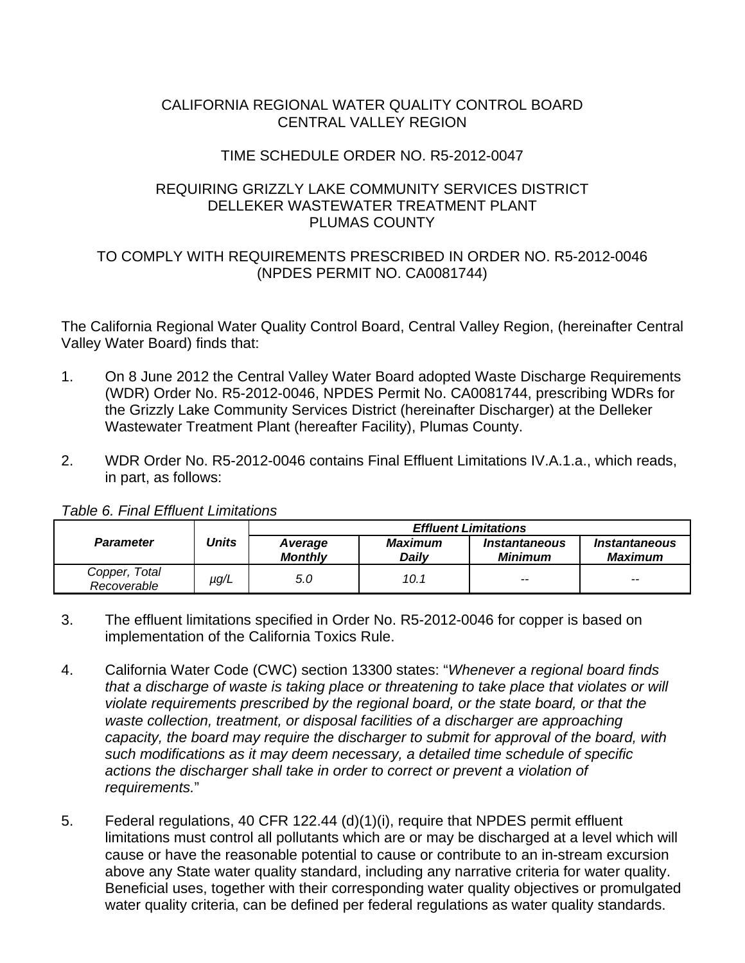#### CALIFORNIA REGIONAL WATER QUALITY CONTROL BOARD CENTRAL VALLEY REGION

### TIME SCHEDULE ORDER NO. R5-2012-0047

#### REQUIRING GRIZZLY LAKE COMMUNITY SERVICES DISTRICT DELLEKER WASTEWATER TREATMENT PLANT PLUMAS COUNTY

# TO COMPLY WITH REQUIREMENTS PRESCRIBED IN ORDER NO. R5-2012-0046 (NPDES PERMIT NO. CA0081744)

The California Regional Water Quality Control Board, Central Valley Region, (hereinafter Central Valley Water Board) finds that:

- 1. On 8 June 2012 the Central Valley Water Board adopted Waste Discharge Requirements (WDR) Order No. R5-2012-0046, NPDES Permit No. CA0081744, prescribing WDRs for the Grizzly Lake Community Services District (hereinafter Discharger) at the Delleker Wastewater Treatment Plant (hereafter Facility), Plumas County.
- 2. WDR Order No. R5-2012-0046 contains Final Effluent Limitations IV.A.1.a., which reads, in part, as follows:

|                              |       | <b>Effluent Limitations</b> |                  |                                               |                                               |  |
|------------------------------|-------|-----------------------------|------------------|-----------------------------------------------|-----------------------------------------------|--|
| <b>Parameter</b>             | Units | Average<br><b>Monthly</b>   | Maximum<br>Dailv | <i><b>Instantaneous</b></i><br><b>Minimum</b> | <i><b>Instantaneous</b></i><br><b>Maximum</b> |  |
| Copper, Total<br>Recoverable | µg/L  | 5.0                         | 10.1             | $- -$                                         | $- -$                                         |  |

*Table 6. Final Effluent Limitations* 

- 3. The effluent limitations specified in Order No. R5-2012-0046 for copper is based on implementation of the California Toxics Rule.
- 4. California Water Code (CWC) section 13300 states: "*Whenever a regional board finds that a discharge of waste is taking place or threatening to take place that violates or will violate requirements prescribed by the regional board, or the state board, or that the waste collection, treatment, or disposal facilities of a discharger are approaching capacity, the board may require the discharger to submit for approval of the board, with such modifications as it may deem necessary, a detailed time schedule of specific actions the discharger shall take in order to correct or prevent a violation of requirements.*"
- 5. Federal regulations, 40 CFR 122.44 (d)(1)(i), require that NPDES permit effluent limitations must control all pollutants which are or may be discharged at a level which will cause or have the reasonable potential to cause or contribute to an in-stream excursion above any State water quality standard, including any narrative criteria for water quality. Beneficial uses, together with their corresponding water quality objectives or promulgated water quality criteria, can be defined per federal regulations as water quality standards.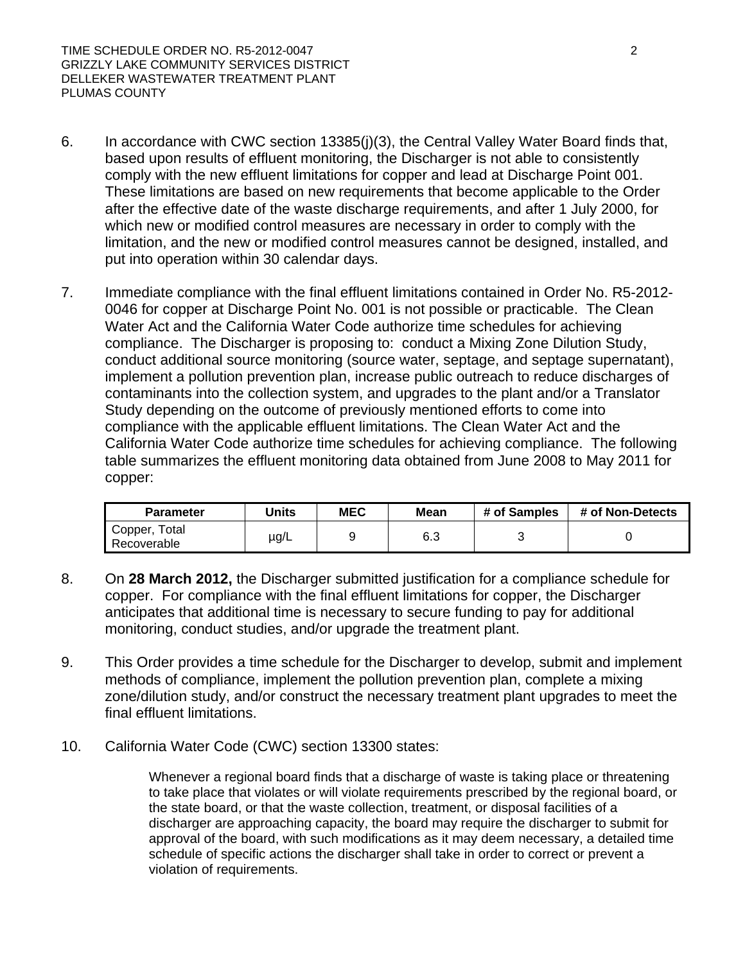- 6. In accordance with CWC section 13385(j)(3), the Central Valley Water Board finds that, based upon results of effluent monitoring, the Discharger is not able to consistently comply with the new effluent limitations for copper and lead at Discharge Point 001. These limitations are based on new requirements that become applicable to the Order after the effective date of the waste discharge requirements, and after 1 July 2000, for which new or modified control measures are necessary in order to comply with the limitation, and the new or modified control measures cannot be designed, installed, and put into operation within 30 calendar days.
- 7. Immediate compliance with the final effluent limitations contained in Order No. R5-2012- 0046 for copper at Discharge Point No. 001 is not possible or practicable. The Clean Water Act and the California Water Code authorize time schedules for achieving compliance. The Discharger is proposing to: conduct a Mixing Zone Dilution Study, conduct additional source monitoring (source water, septage, and septage supernatant), implement a pollution prevention plan, increase public outreach to reduce discharges of contaminants into the collection system, and upgrades to the plant and/or a Translator Study depending on the outcome of previously mentioned efforts to come into compliance with the applicable effluent limitations. The Clean Water Act and the California Water Code authorize time schedules for achieving compliance. The following table summarizes the effluent monitoring data obtained from June 2008 to May 2011 for copper:

| <b>Parameter</b>             | <b>Jnits</b> | <b>MEC</b> | Mean | # of Samples | # of Non-Detects |
|------------------------------|--------------|------------|------|--------------|------------------|
| Copper, Total<br>Recoverable | µg/L         |            | 6.3  |              |                  |

- 8. On **28 March 2012,** the Discharger submitted justification for a compliance schedule for copper. For compliance with the final effluent limitations for copper, the Discharger anticipates that additional time is necessary to secure funding to pay for additional monitoring, conduct studies, and/or upgrade the treatment plant.
- 9. This Order provides a time schedule for the Discharger to develop, submit and implement methods of compliance, implement the pollution prevention plan, complete a mixing zone/dilution study, and/or construct the necessary treatment plant upgrades to meet the final effluent limitations.
- 10. California Water Code (CWC) section 13300 states:

Whenever a regional board finds that a discharge of waste is taking place or threatening to take place that violates or will violate requirements prescribed by the regional board, or the state board, or that the waste collection, treatment, or disposal facilities of a discharger are approaching capacity, the board may require the discharger to submit for approval of the board, with such modifications as it may deem necessary, a detailed time schedule of specific actions the discharger shall take in order to correct or prevent a violation of requirements.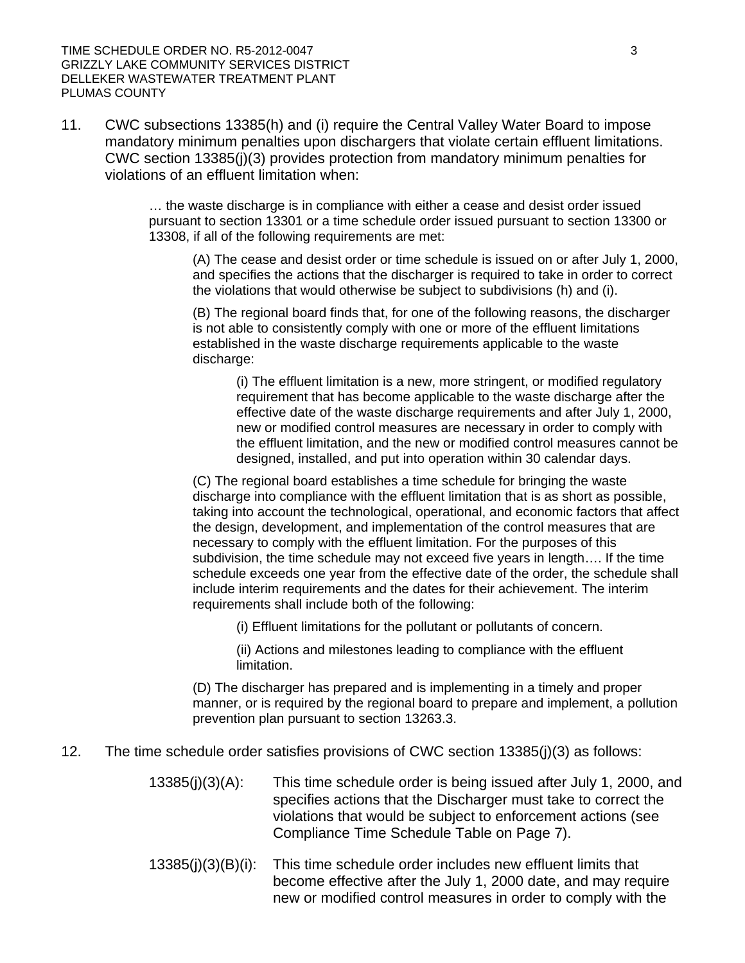11. CWC subsections 13385(h) and (i) require the Central Valley Water Board to impose mandatory minimum penalties upon dischargers that violate certain effluent limitations. CWC section 13385(j)(3) provides protection from mandatory minimum penalties for violations of an effluent limitation when:

> … the waste discharge is in compliance with either a cease and desist order issued pursuant to section 13301 or a time schedule order issued pursuant to section 13300 or 13308, if all of the following requirements are met:

(A) The cease and desist order or time schedule is issued on or after July 1, 2000, and specifies the actions that the discharger is required to take in order to correct the violations that would otherwise be subject to subdivisions (h) and (i).

(B) The regional board finds that, for one of the following reasons, the discharger is not able to consistently comply with one or more of the effluent limitations established in the waste discharge requirements applicable to the waste discharge:

(i) The effluent limitation is a new, more stringent, or modified regulatory requirement that has become applicable to the waste discharge after the effective date of the waste discharge requirements and after July 1, 2000, new or modified control measures are necessary in order to comply with the effluent limitation, and the new or modified control measures cannot be designed, installed, and put into operation within 30 calendar days.

(C) The regional board establishes a time schedule for bringing the waste discharge into compliance with the effluent limitation that is as short as possible, taking into account the technological, operational, and economic factors that affect the design, development, and implementation of the control measures that are necessary to comply with the effluent limitation. For the purposes of this subdivision, the time schedule may not exceed five years in length…. If the time schedule exceeds one year from the effective date of the order, the schedule shall include interim requirements and the dates for their achievement. The interim requirements shall include both of the following:

(i) Effluent limitations for the pollutant or pollutants of concern.

(ii) Actions and milestones leading to compliance with the effluent limitation.

(D) The discharger has prepared and is implementing in a timely and proper manner, or is required by the regional board to prepare and implement, a pollution prevention plan pursuant to section 13263.3.

- 12. The time schedule order satisfies provisions of CWC section 13385(j)(3) as follows:
	- 13385(j)(3)(A): This time schedule order is being issued after July 1, 2000, and specifies actions that the Discharger must take to correct the violations that would be subject to enforcement actions (see Compliance Time Schedule Table on Page 7).
	- 13385(j)(3)(B)(i): This time schedule order includes new effluent limits that become effective after the July 1, 2000 date, and may require new or modified control measures in order to comply with the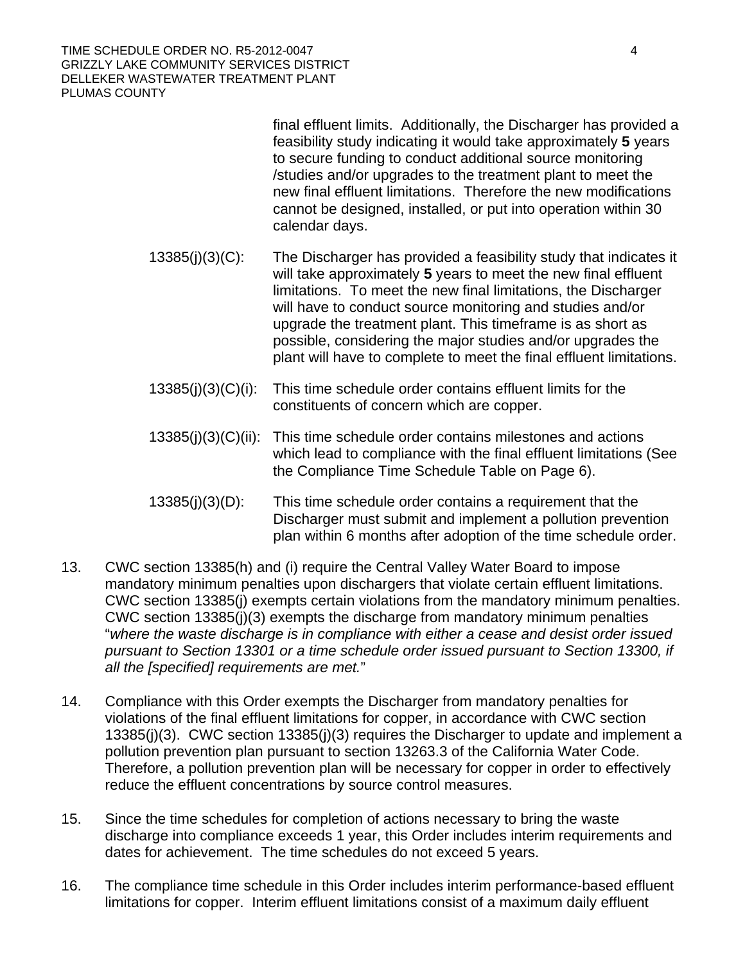TIME SCHEDULE ORDER NO. R5-2012-0047 4 GRIZZLY LAKE COMMUNITY SERVICES DISTRICT DELLEKER WASTEWATER TREATMENT PLANT PLUMAS COUNTY

> final effluent limits. Additionally, the Discharger has provided a feasibility study indicating it would take approximately **5** years to secure funding to conduct additional source monitoring /studies and/or upgrades to the treatment plant to meet the new final effluent limitations. Therefore the new modifications cannot be designed, installed, or put into operation within 30 calendar days.

- 13385(j)(3)(C): The Discharger has provided a feasibility study that indicates it will take approximately **5** years to meet the new final effluent limitations. To meet the new final limitations, the Discharger will have to conduct source monitoring and studies and/or upgrade the treatment plant. This timeframe is as short as possible, considering the major studies and/or upgrades the plant will have to complete to meet the final effluent limitations.
- 13385(j)(3)(C)(i): This time schedule order contains effluent limits for the constituents of concern which are copper.
- 13385(j)(3)(C)(ii): This time schedule order contains milestones and actions which lead to compliance with the final effluent limitations (See the Compliance Time Schedule Table on Page 6).
- 13385(j)(3)(D): This time schedule order contains a requirement that the Discharger must submit and implement a pollution prevention plan within 6 months after adoption of the time schedule order.
- 13. CWC section 13385(h) and (i) require the Central Valley Water Board to impose mandatory minimum penalties upon dischargers that violate certain effluent limitations. CWC section 13385(j) exempts certain violations from the mandatory minimum penalties. CWC section 13385(j)(3) exempts the discharge from mandatory minimum penalties "*where the waste discharge is in compliance with either a cease and desist order issued pursuant to Section 13301 or a time schedule order issued pursuant to Section 13300, if all the [specified] requirements are met.*"
- 14. Compliance with this Order exempts the Discharger from mandatory penalties for violations of the final effluent limitations for copper, in accordance with CWC section 13385(j)(3). CWC section 13385(j)(3) requires the Discharger to update and implement a pollution prevention plan pursuant to section 13263.3 of the California Water Code. Therefore, a pollution prevention plan will be necessary for copper in order to effectively reduce the effluent concentrations by source control measures.
- 15. Since the time schedules for completion of actions necessary to bring the waste discharge into compliance exceeds 1 year, this Order includes interim requirements and dates for achievement. The time schedules do not exceed 5 years.
- 16. The compliance time schedule in this Order includes interim performance-based effluent limitations for copper. Interim effluent limitations consist of a maximum daily effluent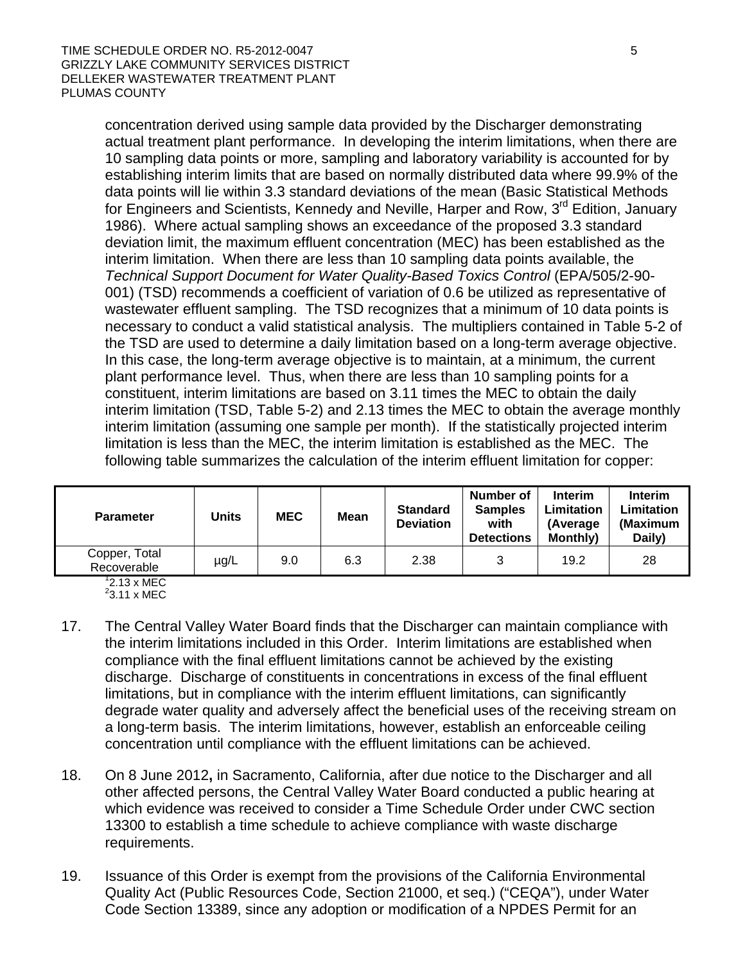concentration derived using sample data provided by the Discharger demonstrating actual treatment plant performance. In developing the interim limitations, when there are 10 sampling data points or more, sampling and laboratory variability is accounted for by establishing interim limits that are based on normally distributed data where 99.9% of the data points will lie within 3.3 standard deviations of the mean (Basic Statistical Methods for Engineers and Scientists, Kennedy and Neville, Harper and Row, 3<sup>rd</sup> Edition, January 1986). Where actual sampling shows an exceedance of the proposed 3.3 standard deviation limit, the maximum effluent concentration (MEC) has been established as the interim limitation. When there are less than 10 sampling data points available, the *Technical Support Document for Water Quality-Based Toxics Control* (EPA/505/2-90- 001) (TSD) recommends a coefficient of variation of 0.6 be utilized as representative of wastewater effluent sampling. The TSD recognizes that a minimum of 10 data points is necessary to conduct a valid statistical analysis. The multipliers contained in Table 5-2 of the TSD are used to determine a daily limitation based on a long-term average objective. In this case, the long-term average objective is to maintain, at a minimum, the current plant performance level. Thus, when there are less than 10 sampling points for a constituent, interim limitations are based on 3.11 times the MEC to obtain the daily interim limitation (TSD, Table 5-2) and 2.13 times the MEC to obtain the average monthly interim limitation (assuming one sample per month). If the statistically projected interim limitation is less than the MEC, the interim limitation is established as the MEC. The following table summarizes the calculation of the interim effluent limitation for copper:

| <b>Parameter</b>             | Jnits | <b>MEC</b> | <b>Mean</b> | <b>Standard</b><br><b>Deviation</b> | Number of<br><b>Samples</b><br>with<br><b>Detections</b> | <b>Interim</b><br>Limitation<br>(Average)<br><b>Monthly)</b> | <b>Interim</b><br>Limitation<br>(Maximum<br>Daily) |
|------------------------------|-------|------------|-------------|-------------------------------------|----------------------------------------------------------|--------------------------------------------------------------|----------------------------------------------------|
| Copper, Total<br>Recoverable | µg/L  | 9.0        | 6.3         | 2.38                                | 3                                                        | 19.2                                                         | 28                                                 |

<sup>1</sup>2.13 x MEC<br><sup>2</sup>3.11 x MEC

- 17. The Central Valley Water Board finds that the Discharger can maintain compliance with the interim limitations included in this Order. Interim limitations are established when compliance with the final effluent limitations cannot be achieved by the existing discharge. Discharge of constituents in concentrations in excess of the final effluent limitations, but in compliance with the interim effluent limitations, can significantly degrade water quality and adversely affect the beneficial uses of the receiving stream on a long-term basis. The interim limitations, however, establish an enforceable ceiling concentration until compliance with the effluent limitations can be achieved.
- 18. On 8 June 2012**,** in Sacramento, California, after due notice to the Discharger and all other affected persons, the Central Valley Water Board conducted a public hearing at which evidence was received to consider a Time Schedule Order under CWC section 13300 to establish a time schedule to achieve compliance with waste discharge requirements.
- 19. Issuance of this Order is exempt from the provisions of the California Environmental Quality Act (Public Resources Code, Section 21000, et seq.) ("CEQA"), under Water Code Section 13389, since any adoption or modification of a NPDES Permit for an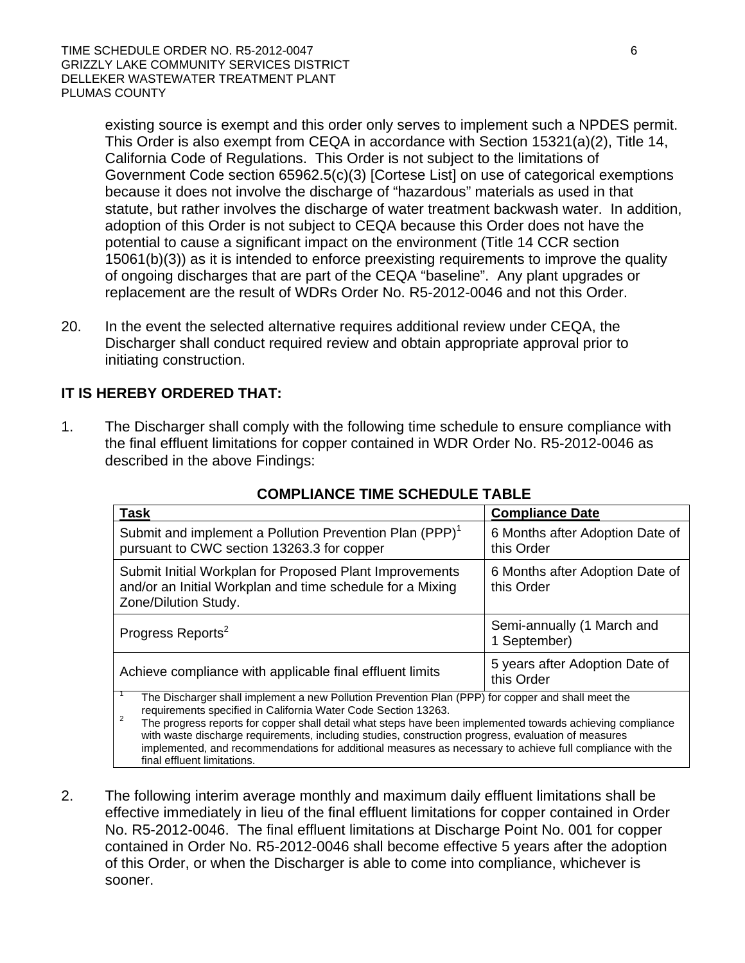existing source is exempt and this order only serves to implement such a NPDES permit. This Order is also exempt from CEQA in accordance with Section 15321(a)(2), Title 14, California Code of Regulations. This Order is not subject to the limitations of Government Code section 65962.5(c)(3) [Cortese List] on use of categorical exemptions because it does not involve the discharge of "hazardous" materials as used in that statute, but rather involves the discharge of water treatment backwash water. In addition, adoption of this Order is not subject to CEQA because this Order does not have the potential to cause a significant impact on the environment (Title 14 CCR section 15061(b)(3)) as it is intended to enforce preexisting requirements to improve the quality of ongoing discharges that are part of the CEQA "baseline". Any plant upgrades or replacement are the result of WDRs Order No. R5-2012-0046 and not this Order.

20. In the event the selected alternative requires additional review under CEQA, the Discharger shall conduct required review and obtain appropriate approval prior to initiating construction.

# **IT IS HEREBY ORDERED THAT:**

1. The Discharger shall comply with the following time schedule to ensure compliance with the final effluent limitations for copper contained in WDR Order No. R5-2012-0046 as described in the above Findings:

| Task                                                                                                                                                                                                                                                                                                                                                                                                                                                                                                                                                    | <b>Compliance Date</b>                        |  |  |  |
|---------------------------------------------------------------------------------------------------------------------------------------------------------------------------------------------------------------------------------------------------------------------------------------------------------------------------------------------------------------------------------------------------------------------------------------------------------------------------------------------------------------------------------------------------------|-----------------------------------------------|--|--|--|
| Submit and implement a Pollution Prevention Plan (PPP) <sup>1</sup><br>pursuant to CWC section 13263.3 for copper                                                                                                                                                                                                                                                                                                                                                                                                                                       | 6 Months after Adoption Date of<br>this Order |  |  |  |
| Submit Initial Workplan for Proposed Plant Improvements<br>and/or an Initial Workplan and time schedule for a Mixing<br>Zone/Dilution Study.                                                                                                                                                                                                                                                                                                                                                                                                            | 6 Months after Adoption Date of<br>this Order |  |  |  |
| Progress Reports <sup>2</sup>                                                                                                                                                                                                                                                                                                                                                                                                                                                                                                                           | Semi-annually (1 March and<br>1 September)    |  |  |  |
| Achieve compliance with applicable final effluent limits                                                                                                                                                                                                                                                                                                                                                                                                                                                                                                | 5 years after Adoption Date of<br>this Order  |  |  |  |
| The Discharger shall implement a new Pollution Prevention Plan (PPP) for copper and shall meet the<br>requirements specified in California Water Code Section 13263.<br>$\overline{2}$<br>The progress reports for copper shall detail what steps have been implemented towards achieving compliance<br>with waste discharge requirements, including studies, construction progress, evaluation of measures<br>implemented, and recommendations for additional measures as necessary to achieve full compliance with the<br>final effluent limitations. |                                               |  |  |  |

# **COMPLIANCE TIME SCHEDULE TABLE**

2. The following interim average monthly and maximum daily effluent limitations shall be effective immediately in lieu of the final effluent limitations for copper contained in Order No. R5-2012-0046. The final effluent limitations at Discharge Point No. 001 for copper contained in Order No. R5-2012-0046 shall become effective 5 years after the adoption of this Order, or when the Discharger is able to come into compliance, whichever is sooner.